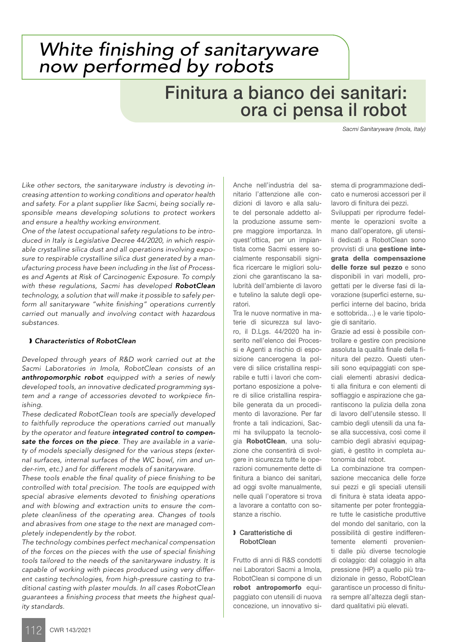## *White finishing of sanitaryware now performed by robots*

## Finitura a bianco dei sanitari: ora ci pensa il robot

*Sacmi Sanitaryware (Imola, Italy)*

*Like other sectors, the sanitaryware industry is devoting increasing attention to working conditions and operator health and safety. For a plant supplier like Sacmi, being socially responsible means developing solutions to protect workers and ensure a healthy working environment.*

*One of the latest occupational safety regulations to be introduced in Italy is Legislative Decree 44/2020, in which respirable crystalline silica dust and all operations involving exposure to respirable crystalline silica dust generated by a manufacturing process have been including in the list of Processes and Agents at Risk of Carcinogenic Exposure. To comply with these regulations, Sacmi has developed RobotClean technology, a solution that will make it possible to safely perform all sanitaryware "white finishing" operations currently carried out manually and involving contact with hazardous substances.*

## ❱ *Characteristics of RobotClean*

*Developed through years of R&D work carried out at the Sacmi Laboratories in Imola, RobotClean consists of an anthropomorphic robot equipped with a series of newly developed tools, an innovative dedicated programming system and a range of accessories devoted to workpiece finishing.*

*These dedicated RobotClean tools are specially developed to faithfully reproduce the operations carried out manually by the operator and feature integrated control to compensate the forces on the piece. They are available in a variety of models specially designed for the various steps (external surfaces, internal surfaces of the WC bowl, rim and under-rim, etc.) and for different models of sanitaryware.* 

*These tools enable the final quality of piece finishing to be controlled with total precision. The tools are equipped with special abrasive elements devoted to finishing operations and with blowing and extraction units to ensure the complete cleanliness of the operating area. Changes of tools and abrasives from one stage to the next are managed completely independently by the robot.* 

*The technology combines perfect mechanical compensation of the forces on the pieces with the use of special finishing tools tailored to the needs of the sanitaryware industry. It is capable of working with pieces produced using very different casting technologies, from high-pressure casting to traditional casting with plaster moulds. In all cases RobotClean guarantees a finishing process that meets the highest quality standards.*

Anche nell'industria del sanitario l'attenzione alle condizioni di lavoro e alla salute del personale addetto alla produzione assume sempre maggiore importanza. In quest'ottica, per un impiantista come Sacmi essere socialmente responsabili significa ricercare le migliori soluzioni che garantiscano la salubrità dell'ambiente di lavoro e tutelino la salute degli operatori.

Tra le nuove normative in materie di sicurezza sul lavoro, il D.Lgs. 44/2020 ha inserito nell'elenco dei Processi e Agenti a rischio di esposizione cancerogena la polvere di silice cristallina respirabile e tutti i lavori che comportano esposizione a polvere di silice cristallina respirabile generata da un procedimento di lavorazione. Per far fronte a tali indicazioni, Sacmi ha sviluppato la tecnologia RobotClean, una soluzione che consentirà di svolgere in sicurezza tutte le operazioni comunemente dette di finitura a bianco dei sanitari, ad oggi svolte manualmente, nelle quali l'operatore si trova a lavorare a contatto con sostanze a rischio.

### ❱ Caratteristiche di **RobotClean**

Frutto di anni di R&S condotti nei Laboratori Sacmi a Imola, RobotClean si compone di un robot antropomorfo equipaggiato con utensili di nuova concezione, un innovativo sistema di programmazione dedicato e numerosi accessori per il lavoro di finitura dei pezzi.

Sviluppati per riprodurre fedelmente le operazioni svolte a mano dall'operatore, gli utensili dedicati a RobotClean sono provvisti di una gestione integrata della compensazione delle forze sul pezzo e sono disponibili in vari modelli, progettati per le diverse fasi di lavorazione (superfici esterne, superfici interne del bacino, brida e sottobrida…) e le varie tipologie di sanitario.

Grazie ad essi è possibile controllare e gestire con precisione assoluta la qualità finale della finitura del pezzo. Questi utensili sono equipaggiati con speciali elementi abrasivi dedicati alla finitura e con elementi di soffiaggio e aspirazione che garantiscono la pulizia della zona di lavoro dell'utensile stesso. Il cambio degli utensili da una fase alla successiva, così come il cambio degli abrasivi equipaggiati, è gestito in completa autonomia dal robot.

La combinazione tra compensazione meccanica delle forze sui pezzi e gli speciali utensili di finitura è stata ideata appositamente per poter fronteggiare tutte le casistiche produttive del mondo del sanitario, con la possibilità di gestire indifferentemente elementi provenienti dalle più diverse tecnologie di colaggio: dal colaggio in alta pressione (HP) a quello più tradizionale in gesso, RobotClean garantisce un processo di finitura sempre all'altezza degli standard qualitativi più elevati.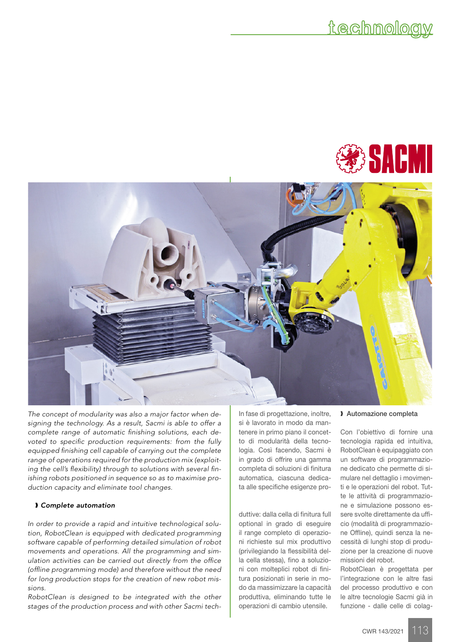



*The concept of modularity was also a major factor when designing the technology. As a result, Sacmi is able to offer a complete range of automatic finishing solutions, each devoted to specific production requirements: from the fully equipped finishing cell capable of carrying out the complete range of operations required for the production mix (exploiting the cell's flexibility) through to solutions with several finishing robots positioned in sequence so as to maximise production capacity and eliminate tool changes.*

### ❱ *Complete automation*

*In order to provide a rapid and intuitive technological solution, RobotClean is equipped with dedicated programming software capable of performing detailed simulation of robot movements and operations. All the programming and simulation activities can be carried out directly from the office (offline programming mode) and therefore without the need for long production stops for the creation of new robot missions.* 

*RobotClean is designed to be integrated with the other stages of the production process and with other Sacmi tech-* In fase di progettazione, inoltre, si è lavorato in modo da mantenere in primo piano il concetto di modularità della tecnologia. Così facendo, Sacmi è in grado di offrire una gamma completa di soluzioni di finitura automatica, ciascuna dedicata alle specifiche esigenze pro-

duttive: dalla cella di finitura full optional in grado di eseguire il range completo di operazioni richieste sul mix produttivo (privilegiando la flessibilità della cella stessa), fino a soluzioni con molteplici robot di finitura posizionati in serie in modo da massimizzare la capacità produttiva, eliminando tutte le operazioni di cambio utensile.

### ❱ Automazione completa

Con l'obiettivo di fornire una tecnologia rapida ed intuitiva, RobotClean è equipaggiato con un software di programmazione dedicato che permette di simulare nel dettaglio i movimenti e le operazioni del robot. Tutte le attività di programmazione e simulazione possono essere svolte direttamente da ufficio (modalità di programmazione Offline), quindi senza la necessità di lunghi stop di produzione per la creazione di nuove missioni del robot.

RobotClean è progettata per l'integrazione con le altre fasi del processo produttivo e con le altre tecnologie Sacmi già in funzione - dalle celle di colag-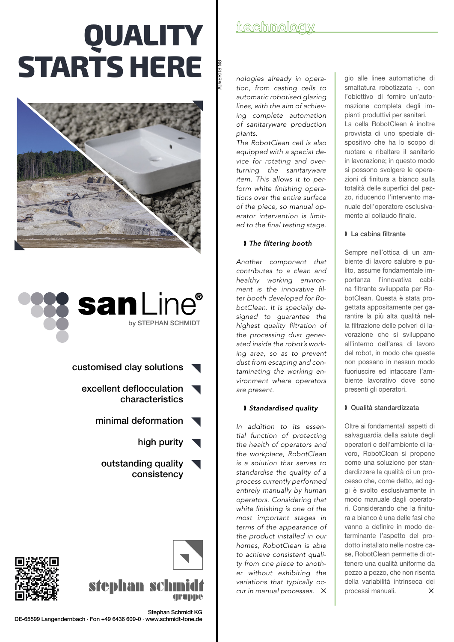# **QUALITY STARTS HERE**





- customised clay solutions
	- excellent deflocculation characteristics
		- minimal deformation
			- high purity
			- outstanding quality consistency





Stephan Schmidt KG

gruppe

## **technology**

ADVERTISING

*nologies already in operation, from casting cells to automatic robotised glazing lines, with the aim of achieving complete automation of sanitaryware production plants.* 

*The RobotClean cell is also equipped with a special device for rotating and overturning the sanitaryware item. This allows it to perform white finishing operations over the entire surface of the piece, so manual operator intervention is limited to the final testing stage.*

## ❱ *The filtering booth*

*Another component that contributes to a clean and healthy working environment is the innovative filter booth developed for RobotClean. It is specially designed to guarantee the highest quality filtration of the processing dust generated inside the robot's working area, so as to prevent dust from escaping and contaminating the working environment where operators are present.*

## ❱ *Standardised quality*

*In addition to its essential function of protecting the health of operators and the workplace, RobotClean is a solution that serves to standardise the quality of a process currently performed entirely manually by human operators. Considering that white finishing is one of the most important stages in terms of the appearance of the product installed in our homes, RobotClean is able to achieve consistent quality from one piece to another without exhibiting the variations that typically occur in manual processes.* ✕

gio alle linee automatiche di smaltatura robotizzata -, con l'obiettivo di fornire un'automazione completa degli impianti produttivi per sanitari. La cella RobotClean è inoltre provvista di uno speciale dispositivo che ha lo scopo di ruotare e ribaltare il sanitario in lavorazione; in questo modo si possono svolgere le operazioni di finitura a bianco sulla totalità delle superfici del pezzo, riducendo l'intervento manuale dell'operatore esclusivamente al collaudo finale.

## ❱ La cabina filtrante

Sempre nell'ottica di un ambiente di lavoro salubre e pulito, assume fondamentale importanza l'innovativa cabina filtrante sviluppata per RobotClean. Questa è stata progettata appositamente per garantire la più alta qualità nella filtrazione delle polveri di lavorazione che si sviluppano all'interno dell'area di lavoro del robot, in modo che queste non possano in nessun modo fuoriuscire ed intaccare l'ambiente lavorativo dove sono presenti gli operatori.

## ❱ Qualità standardizzata

Oltre ai fondamentali aspetti di salvaguardia della salute degli operatori e dell'ambiente di lavoro, RobotClean si propone come una soluzione per standardizzare la qualità di un processo che, come detto, ad oggi è svolto esclusivamente in modo manuale dagli operatori. Considerando che la finitura a bianco è una delle fasi che vanno a definire in modo determinante l'aspetto del prodotto installato nelle nostre case, RobotClean permette di ottenere una qualità uniforme da pezzo a pezzo, che non risenta della variabilità intrinseca dei processi manuali.  $\times$ 

DE-65599 Langendernbach · Fon +49 6436 609-0 · www.schmidt-tone.de